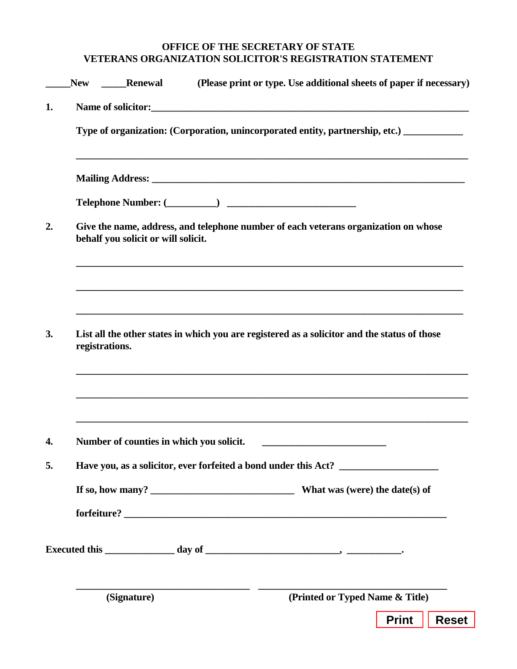## **OFFICE OF THE SECRETARY OF STATE VETERANS ORGANIZATION SOLICITOR'S REGISTRATION STATEMENT**

|    | <b>New</b>                                                                                                                 | <b>Renewal</b>                                                                    | (Please print or type. Use additional sheets of paper if necessary)                          |  |
|----|----------------------------------------------------------------------------------------------------------------------------|-----------------------------------------------------------------------------------|----------------------------------------------------------------------------------------------|--|
| 1. |                                                                                                                            |                                                                                   | Name of solicitor:                                                                           |  |
|    | Type of organization: (Corporation, unincorporated entity, partnership, etc.) __________                                   |                                                                                   |                                                                                              |  |
|    |                                                                                                                            |                                                                                   |                                                                                              |  |
|    |                                                                                                                            |                                                                                   |                                                                                              |  |
| 2. | Give the name, address, and telephone number of each veterans organization on whose<br>behalf you solicit or will solicit. |                                                                                   |                                                                                              |  |
|    |                                                                                                                            |                                                                                   |                                                                                              |  |
| 3. | registrations.                                                                                                             |                                                                                   | List all the other states in which you are registered as a solicitor and the status of those |  |
| 4. |                                                                                                                            | Number of counties in which you solicit.                                          | <u> 1989 - Johann Barbara, martxa alemaniar a</u>                                            |  |
| 5. |                                                                                                                            | Have you, as a solicitor, ever forfeited a bond under this Act? _________________ |                                                                                              |  |
|    |                                                                                                                            |                                                                                   |                                                                                              |  |
|    |                                                                                                                            |                                                                                   |                                                                                              |  |
|    |                                                                                                                            | (Signature)                                                                       | (Printed or Typed Name & Title)                                                              |  |
|    |                                                                                                                            |                                                                                   | <b>Reset</b><br><b>Print</b>                                                                 |  |